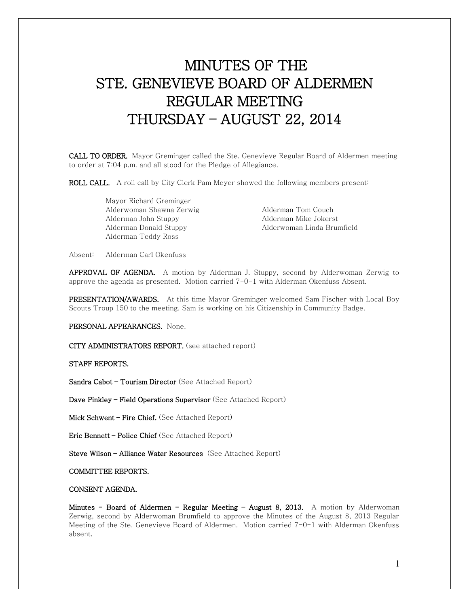# MINUTES OF THE STE. GENEVIEVE BOARD OF ALDERMEN REGULAR MEETING THURSDAY – AUGUST 22, 2014

CALL TO ORDER. Mayor Greminger called the Ste. Genevieve Regular Board of Aldermen meeting to order at 7:04 p.m. and all stood for the Pledge of Allegiance.

ROLL CALL. A roll call by City Clerk Pam Meyer showed the following members present:

 Mayor Richard Greminger Alderwoman Shawna Zerwig **Alderman Tom Couch**  Alderman John Stuppy Alderman Mike Jokerst Alderman Teddy Ross

Alderman Donald Stuppy Alderwoman Linda Brumfield

Absent: Alderman Carl Okenfuss

APPROVAL OF AGENDA. A motion by Alderman J. Stuppy, second by Alderwoman Zerwig to approve the agenda as presented. Motion carried 7-0-1 with Alderman Okenfuss Absent.

PRESENTATION/AWARDS. At this time Mayor Greminger welcomed Sam Fischer with Local Boy Scouts Troup 150 to the meeting. Sam is working on his Citizenship in Community Badge.

PERSONAL APPEARANCES. None.

CITY ADMINISTRATORS REPORT. (see attached report)

STAFF REPORTS.

Sandra Cabot – Tourism Director (See Attached Report)

Dave Pinkley – Field Operations Supervisor (See Attached Report)

Mick Schwent – Fire Chief. (See Attached Report)

Eric Bennett – Police Chief (See Attached Report)

Steve Wilson - Alliance Water Resources (See Attached Report)

COMMITTEE REPORTS.

### CONSENT AGENDA.

Minutes - Board of Aldermen - Regular Meeting - August 8, 2013. A motion by Alderwoman Zerwig, second by Alderwoman Brumfield to approve the Minutes of the August 8, 2013 Regular Meeting of the Ste. Genevieve Board of Aldermen. Motion carried 7-0-1 with Alderman Okenfuss absent.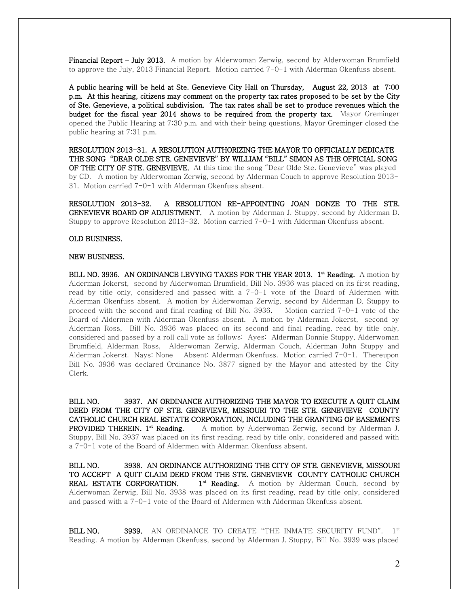Financial Report – July 2013. A motion by Alderwoman Zerwig, second by Alderwoman Brumfield to approve the July, 2013 Financial Report. Motion carried 7-0-1 with Alderman Okenfuss absent.

A public hearing will be held at Ste. Genevieve City Hall on Thursday, August 22, 2013 at 7:00 p.m. At this hearing, citizens may comment on the property tax rates proposed to be set by the City of Ste. Genevieve, a political subdivision. The tax rates shall be set to produce revenues which the budget for the fiscal year 2014 shows to be required from the property tax. Mayor Greminger opened the Public Hearing at 7:30 p.m. and with their being questions, Mayor Greminger closed the public hearing at 7:31 p.m.

RESOLUTION 2013-31. A RESOLUTION AUTHORIZING THE MAYOR TO OFFICIALLY DEDICATE THE SONG "DEAR OLDE STE. GENEVIEVE" BY WILLIAM "BILL" SIMON AS THE OFFICIAL SONG OF THE CITY OF STE. GENEVIEVE. At this time the song "Dear Olde Ste. Genevieve" was played by CD. A motion by Alderwoman Zerwig, second by Alderman Couch to approve Resolution 2013- 31. Motion carried 7-0-1 with Alderman Okenfuss absent.

RESOLUTION 2013-32. A RESOLUTION RE-APPOINTING JOAN DONZE TO THE STE. GENEVIEVE BOARD OF ADJUSTMENT. A motion by Alderman J. Stuppy, second by Alderman D. Stuppy to approve Resolution 2013-32. Motion carried 7-0-1 with Alderman Okenfuss absent.

#### OLD BUSINESS.

#### NEW BUSINESS.

BILL NO. 3936. AN ORDINANCE LEVYING TAXES FOR THE YEAR 2013. 1<sup>st</sup> Reading. A motion by Alderman Jokerst, second by Alderwoman Brumfield, Bill No. 3936 was placed on its first reading, read by title only, considered and passed with a 7-0-1 vote of the Board of Aldermen with Alderman Okenfuss absent. A motion by Alderwoman Zerwig, second by Alderman D. Stuppy to proceed with the second and final reading of Bill No. 3936. Motion carried 7-0-1 vote of the Board of Aldermen with Alderman Okenfuss absent. A motion by Alderman Jokerst, second by Alderman Ross, Bill No. 3936 was placed on its second and final reading, read by title only, considered and passed by a roll call vote as follows: Ayes: Alderman Donnie Stuppy, Alderwoman Brumfield, Alderman Ross, Alderwoman Zerwig, Alderman Couch, Alderman John Stuppy and Alderman Jokerst. Nays: None Absent: Alderman Okenfuss. Motion carried 7-0-1. Thereupon Bill No. 3936 was declared Ordinance No. 3877 signed by the Mayor and attested by the City Clerk.

BILL NO. 3937. AN ORDINANCE AUTHORIZING THE MAYOR TO EXECUTE A QUIT CLAIM DEED FROM THE CITY OF STE. GENEVIEVE, MISSOURI TO THE STE. GENEVIEVE COUNTY CATHOLIC CHURCH REAL ESTATE CORPORATION, INCLUDING THE GRANTING OF EASEMENTS **PROVIDED THEREIN. 1<sup>st</sup> Reading.** A motion by Alderwoman Zerwig, second by Alderman J. Stuppy, Bill No. 3937 was placed on its first reading, read by title only, considered and passed with a 7-0-1 vote of the Board of Aldermen with Alderman Okenfuss absent.

BILL NO. 3938. AN ORDINANCE AUTHORIZING THE CITY OF STE. GENEVIEVE, MISSOURI TO ACCEPT A QUIT CLAIM DEED FROM THE STE. GENEVIEVE COUNTY CATHOLIC CHURCH **REAL ESTATE CORPORATION.**  $1^{st}$  **Reading.** A motion by Alderman Couch, second by Alderwoman Zerwig, Bill No. 3938 was placed on its first reading, read by title only, considered and passed with a 7-0-1 vote of the Board of Aldermen with Alderman Okenfuss absent.

BILL NO. 3939. AN ORDINANCE TO CREATE "THE INMATE SECURITY FUND". 1st Reading. A motion by Alderman Okenfuss, second by Alderman J. Stuppy, Bill No. 3939 was placed